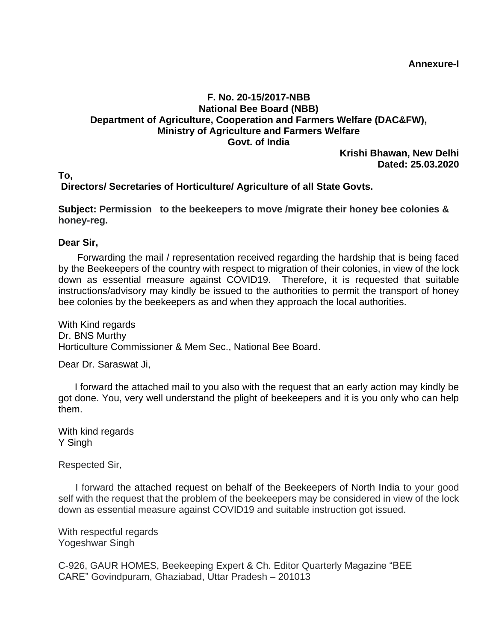**Annexure-I**

## **F. No. 20-15/2017-NBB National Bee Board (NBB) Department of Agriculture, Cooperation and Farmers Welfare (DAC&FW), Ministry of Agriculture and Farmers Welfare Govt. of India**

**Krishi Bhawan, New Delhi Dated: 25.03.2020**

## **To, Directors/ Secretaries of Horticulture/ Agriculture of all State Govts.**

**Subject: Permission to the beekeepers to move /migrate their honey bee colonies & honey-reg.** 

## **Dear Sir,**

 Forwarding the mail / representation received regarding the hardship that is being faced by the Beekeepers of the country with respect to migration of their colonies, in view of the lock down as essential measure against COVID19. Therefore, it is requested that suitable instructions/advisory may kindly be issued to the authorities to permit the transport of honey bee colonies by the beekeepers as and when they approach the local authorities.

With Kind regards Dr. BNS Murthy Horticulture Commissioner & Mem Sec., National Bee Board.

Dear Dr. Saraswat Ji,

 I forward the attached mail to you also with the request that an early action may kindly be got done. You, very well understand the plight of beekeepers and it is you only who can help them.

With kind regards Y Singh

Respected Sir,

 I forward the attached request on behalf of the Beekeepers of North India to your good self with the request that the problem of the beekeepers may be considered in view of the lock down as essential measure against COVID19 and suitable instruction got issued.

With respectful regards Yogeshwar Singh

C-926, GAUR HOMES, Beekeeping Expert & Ch. Editor Quarterly Magazine "BEE CARE" Govindpuram, Ghaziabad, Uttar Pradesh – 201013